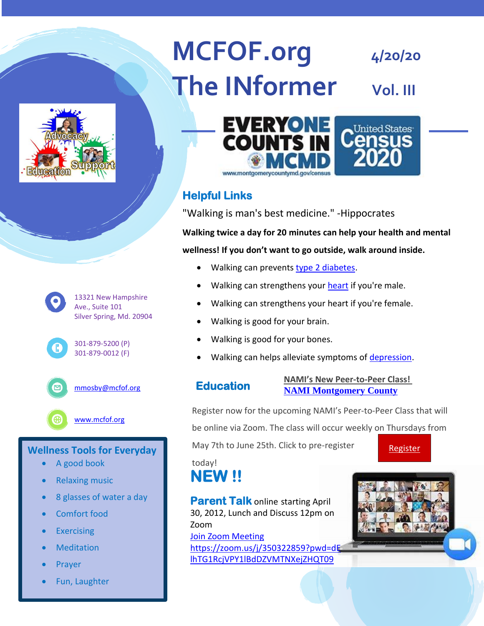# **MCFOF.org**  $4/20/20$ **The INformer vol. III**







## **Wellness Tools for Everyday**

- A good book
- Relaxing music
- 8 glasses of water a day
- Comfort food
- Exercising
- **Meditation**
- Prayer
- Fun, Laughter



# **Helpful Links**

"Walking is man's best medicine." -Hippocrates

**Walking twice a day for 20 minutes can help your health and mental wellness! If you don't want to go outside, walk around inside.**

- Walking can prevents [type 2 diabetes.](https://www.medicinenet.com/type_2_diabetes/article.htm)
- Walking can strengthens your [heart](https://www.medicinenet.com/heart_how_the_heart_works/article.htm) if you're male.
- Walking can strengthens your heart if you're female.
- Walking is good for your brain.
- Walking is good for your bones.
- Walking can helps alleviate symptoms of [depression.](https://www.medicinenet.com/depression/article.htm)

## **Education**

#### **NAMI's New Peer-to-Peer Class! [NAMI Montgomery County](https://namimc.org/)**

Register now for the upcoming NAMI's Peer-to-Peer Class that will be online via Zoom. The class will occur weekly on Thursdays from

May 7th to June 25th. Click to pre-register

[Register](https://default.salsalabs.org/T61444244-0f70-4659-b1e4-8354ad8f3682/74aaf229-31d0-408f-b744-fcf03c64a1c4)

today!

**NEW !!** 

**Parent Talk online starting April** 30, 2012, Lunch and Discuss 12pm on Zoom

[Join Zoom Meeting](https://zoom.us/j/350322859?pwd=dElhTG1RcjVPY1lBdDZVMTNXejZHQT09) [https://zoom.us/j/350322859?pwd=dE](https://zoom.us/j/350322859?pwd=dElhTG1RcjVPY1lBdDZVMTNXejZHQT09) [lhTG1RcjVPY1lBdDZVMTNXejZHQT09](https://zoom.us/j/350322859?pwd=dElhTG1RcjVPY1lBdDZVMTNXejZHQT09)